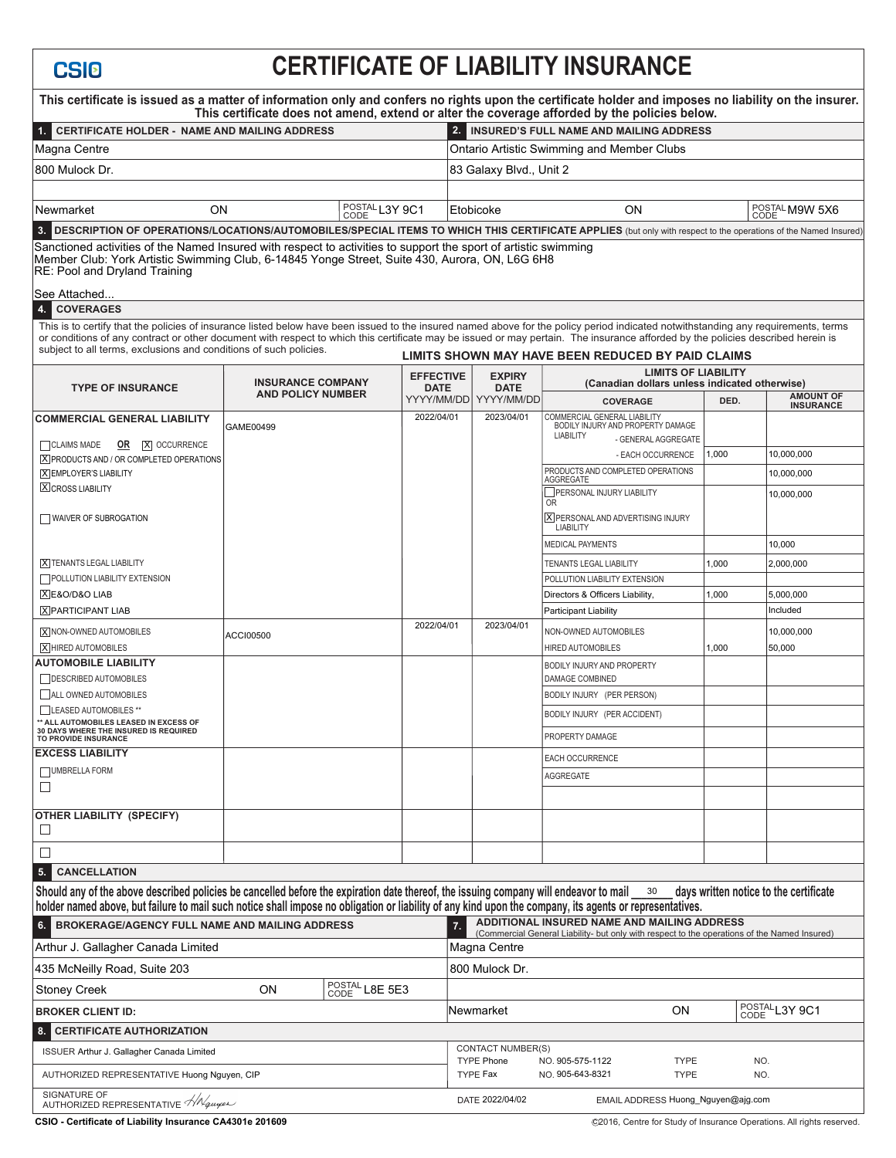## **CSI<sub>O</sub>**

## **CERTIFICATE OF LIABILITY INSURANCE**

| This certificate is issued as a matter of information only and confers no rights upon the certificate holder and imposes no liability on the insurer.                                                                                                                                             |                                                      |  |                                  |                                                           |                                                                                                              | This certificate does not amend, extend or alter the coverage afforded by the policies below. |       |                                        |  |
|---------------------------------------------------------------------------------------------------------------------------------------------------------------------------------------------------------------------------------------------------------------------------------------------------|------------------------------------------------------|--|----------------------------------|-----------------------------------------------------------|--------------------------------------------------------------------------------------------------------------|-----------------------------------------------------------------------------------------------|-------|----------------------------------------|--|
| <b>CERTIFICATE HOLDER - NAME AND MAILING ADDRESS</b><br>1.                                                                                                                                                                                                                                        |                                                      |  |                                  | 2. INSURED'S FULL NAME AND MAILING ADDRESS                |                                                                                                              |                                                                                               |       |                                        |  |
| Magna Centre                                                                                                                                                                                                                                                                                      |                                                      |  |                                  | Ontario Artistic Swimming and Member Clubs                |                                                                                                              |                                                                                               |       |                                        |  |
| 800 Mulock Dr.                                                                                                                                                                                                                                                                                    |                                                      |  |                                  | 83 Galaxy Blvd., Unit 2                                   |                                                                                                              |                                                                                               |       |                                        |  |
|                                                                                                                                                                                                                                                                                                   |                                                      |  |                                  |                                                           |                                                                                                              |                                                                                               |       |                                        |  |
| Newmarket                                                                                                                                                                                                                                                                                         | <b>ON</b>                                            |  | POSTAL L3Y 9C1                   |                                                           | Etobicoke                                                                                                    | ΟN                                                                                            |       | POSTAL M9W 5X6<br>CODE                 |  |
| 3. DESCRIPTION OF OPERATIONS/LOCATIONS/AUTOMOBILES/SPECIAL ITEMS TO WHICH THIS CERTIFICATE APPLIES (but only with respect to the operations of the Named Insured                                                                                                                                  |                                                      |  |                                  |                                                           |                                                                                                              |                                                                                               |       |                                        |  |
| Sanctioned activities of the Named Insured with respect to activities to support the sport of artistic swimming<br>Member Club: York Artistic Swimming Club, 6-14845 Yonge Street, Suite 430, Aurora, ON, L6G 6H8<br>RE: Pool and Dryland Training                                                |                                                      |  |                                  |                                                           |                                                                                                              |                                                                                               |       |                                        |  |
| See Attached                                                                                                                                                                                                                                                                                      |                                                      |  |                                  |                                                           |                                                                                                              |                                                                                               |       |                                        |  |
| <b>COVERAGES</b><br>$\clubsuit$<br>This is to certify that the policies of insurance listed below have been issued to the insured named above for the policy period indicated notwithstanding any requirements, terms                                                                             |                                                      |  |                                  |                                                           |                                                                                                              |                                                                                               |       |                                        |  |
| or conditions of any contract or other document with respect to which this certificate may be issued or may pertain. The insurance afforded by the policies described herein is<br>subject to all terms, exclusions and conditions of such policies.                                              |                                                      |  |                                  |                                                           |                                                                                                              | LIMITS SHOWN MAY HAVE BEEN REDUCED BY PAID CLAIMS                                             |       |                                        |  |
|                                                                                                                                                                                                                                                                                                   |                                                      |  | <b>EFFECTIVE</b>                 |                                                           | <b>EXPIRY</b>                                                                                                | <b>LIMITS OF LIABILITY</b>                                                                    |       |                                        |  |
| <b>TYPE OF INSURANCE</b>                                                                                                                                                                                                                                                                          | <b>INSURANCE COMPANY</b><br><b>AND POLICY NUMBER</b> |  | <b>DATE</b>                      |                                                           | <b>DATE</b>                                                                                                  | (Canadian dollars unless indicated otherwise)                                                 |       | <b>AMOUNT OF</b>                       |  |
|                                                                                                                                                                                                                                                                                                   |                                                      |  |                                  |                                                           | YYYY/MM/DD  YYYY/MM/DD                                                                                       | <b>COVERAGE</b>                                                                               | DED.  | <b>INSURANCE</b>                       |  |
| <b>COMMERCIAL GENERAL LIABILITY</b>                                                                                                                                                                                                                                                               | GAME00499                                            |  | 2022/04/01                       |                                                           | 2023/04/01                                                                                                   | COMMERCIAL GENERAL LIABILITY<br>BODILY INJURY AND PROPERTY DAMAGE                             |       |                                        |  |
| CLAIMS MADE<br><b>OR X</b> OCCURRENCE                                                                                                                                                                                                                                                             |                                                      |  |                                  |                                                           |                                                                                                              | <b>LIABILITY</b><br>- GENERAL AGGREGATE                                                       |       |                                        |  |
| <b>X PRODUCTS AND / OR COMPLETED OPERATIONS</b>                                                                                                                                                                                                                                                   |                                                      |  |                                  |                                                           |                                                                                                              | - EACH OCCURRENCE<br>PRODUCTS AND COMPLETED OPERATIONS                                        | 1,000 | 10.000.000                             |  |
| <b>X EMPLOYER'S LIABILITY</b><br><b>X CROSS LIABILITY</b>                                                                                                                                                                                                                                         |                                                      |  |                                  |                                                           |                                                                                                              | AGGREGATE<br>PERSONAL INJURY LIABILITY                                                        |       | 10,000,000                             |  |
|                                                                                                                                                                                                                                                                                                   |                                                      |  |                                  |                                                           |                                                                                                              | <b>OR</b>                                                                                     |       | 10,000,000                             |  |
| $\Box$ WAIVER OF SUBROGATION                                                                                                                                                                                                                                                                      |                                                      |  |                                  |                                                           |                                                                                                              | X PERSONAL AND ADVERTISING INJURY<br><b>LIABILITY</b>                                         |       |                                        |  |
|                                                                                                                                                                                                                                                                                                   |                                                      |  |                                  |                                                           |                                                                                                              | <b>MEDICAL PAYMENTS</b>                                                                       |       | 10,000                                 |  |
| <b>X TENANTS LEGAL LIABILITY</b>                                                                                                                                                                                                                                                                  |                                                      |  |                                  |                                                           |                                                                                                              | TENANTS LEGAL LIABILITY                                                                       | 1,000 | 2,000,000                              |  |
| POLLUTION LIABILITY EXTENSION                                                                                                                                                                                                                                                                     |                                                      |  |                                  |                                                           |                                                                                                              | POLLUTION LIABILITY EXTENSION                                                                 |       |                                        |  |
| XE&O/D&O LIAB                                                                                                                                                                                                                                                                                     |                                                      |  |                                  |                                                           |                                                                                                              | Directors & Officers Liability,                                                               | 1,000 | 5,000,000                              |  |
| <b>XPARTICIPANT LIAB</b>                                                                                                                                                                                                                                                                          |                                                      |  | 2022/04/01                       |                                                           | 2023/04/01                                                                                                   | Participant Liability                                                                         |       | Included                               |  |
| X NON-OWNED AUTOMOBILES                                                                                                                                                                                                                                                                           | ACCI00500                                            |  |                                  |                                                           |                                                                                                              | NON-OWNED AUTOMOBILES                                                                         |       | 10,000,000                             |  |
| X HIRED AUTOMOBILES<br><b>AUTOMOBILE LIABILITY</b>                                                                                                                                                                                                                                                |                                                      |  |                                  |                                                           |                                                                                                              | <b>HIRED AUTOMOBILES</b><br>BODILY INJURY AND PROPERTY                                        | 1,000 | 50,000                                 |  |
| <b>DESCRIBED AUTOMOBILES</b>                                                                                                                                                                                                                                                                      |                                                      |  |                                  |                                                           |                                                                                                              | DAMAGE COMBINED                                                                               |       |                                        |  |
| ALL OWNED AUTOMOBILES                                                                                                                                                                                                                                                                             |                                                      |  |                                  |                                                           |                                                                                                              | BODILY INJURY (PER PERSON)                                                                    |       |                                        |  |
| LEASED AUTOMOBILES **<br>** ALL AUTOMOBILES LEASED IN EXCESS OF                                                                                                                                                                                                                                   |                                                      |  |                                  |                                                           |                                                                                                              | BODILY INJURY (PER ACCIDENT)                                                                  |       |                                        |  |
| 30 DAYS WHERE THE INSURED IS REQUIRED<br>TO PROVIDE INSURANCE                                                                                                                                                                                                                                     |                                                      |  |                                  |                                                           |                                                                                                              | PROPERTY DAMAGE                                                                               |       |                                        |  |
| <b>EXCESS LIABILITY</b>                                                                                                                                                                                                                                                                           |                                                      |  |                                  |                                                           |                                                                                                              | EACH OCCURRENCE                                                                               |       |                                        |  |
| UMBRELLA FORM                                                                                                                                                                                                                                                                                     |                                                      |  |                                  |                                                           |                                                                                                              | AGGREGATE                                                                                     |       |                                        |  |
| $\Box$                                                                                                                                                                                                                                                                                            |                                                      |  |                                  |                                                           |                                                                                                              |                                                                                               |       |                                        |  |
| <b>OTHER LIABILITY (SPECIFY)</b>                                                                                                                                                                                                                                                                  |                                                      |  |                                  |                                                           |                                                                                                              |                                                                                               |       |                                        |  |
| □                                                                                                                                                                                                                                                                                                 |                                                      |  |                                  |                                                           |                                                                                                              |                                                                                               |       |                                        |  |
| $\Box$                                                                                                                                                                                                                                                                                            |                                                      |  |                                  |                                                           |                                                                                                              |                                                                                               |       |                                        |  |
| 5.<br><b>CANCELLATION</b>                                                                                                                                                                                                                                                                         |                                                      |  |                                  |                                                           |                                                                                                              |                                                                                               |       |                                        |  |
| Should any of the above described policies be cancelled before the expiration date thereof, the issuing company will endeavor to mail<br>holder named above, but failure to mail such notice shall impose no obligation or liability of any kind upon the company, its agents or representatives. |                                                      |  |                                  |                                                           |                                                                                                              | 30                                                                                            |       | days written notice to the certificate |  |
| BROKERAGE/AGENCY FULL NAME AND MAILING ADDRESS<br>6.                                                                                                                                                                                                                                              |                                                      |  |                                  |                                                           |                                                                                                              | ADDITIONAL INSURED NAME AND MAILING ADDRESS                                                   |       |                                        |  |
| Arthur J. Gallagher Canada Limited                                                                                                                                                                                                                                                                |                                                      |  |                                  |                                                           | (Commercial General Liability- but only with respect to the operations of the Named Insured)<br>Magna Centre |                                                                                               |       |                                        |  |
| 435 McNeilly Road, Suite 203                                                                                                                                                                                                                                                                      |                                                      |  |                                  |                                                           | 800 Mulock Dr.                                                                                               |                                                                                               |       |                                        |  |
| POSTAL L8E 5E3<br>ON<br><b>Stoney Creek</b>                                                                                                                                                                                                                                                       |                                                      |  |                                  |                                                           |                                                                                                              |                                                                                               |       |                                        |  |
| <b>BROKER CLIENT ID:</b>                                                                                                                                                                                                                                                                          |                                                      |  | POSTALL3Y 9C1<br>ON<br>Newmarket |                                                           |                                                                                                              |                                                                                               |       |                                        |  |
|                                                                                                                                                                                                                                                                                                   |                                                      |  |                                  |                                                           |                                                                                                              |                                                                                               |       |                                        |  |
| 8. CERTIFICATE AUTHORIZATION                                                                                                                                                                                                                                                                      |                                                      |  |                                  |                                                           | <b>CONTACT NUMBER(S)</b>                                                                                     |                                                                                               |       |                                        |  |
| ISSUER Arthur J. Gallagher Canada Limited                                                                                                                                                                                                                                                         |                                                      |  |                                  |                                                           | <b>TYPE Phone</b><br>NO. 905-575-1122<br><b>TYPE</b><br>NO.                                                  |                                                                                               |       |                                        |  |
| AUTHORIZED REPRESENTATIVE Huong Nguyen, CIP                                                                                                                                                                                                                                                       |                                                      |  |                                  | <b>TYPE Fax</b><br>NO. 905-643-8321<br><b>TYPE</b><br>NO. |                                                                                                              |                                                                                               |       |                                        |  |
| SIGNATURE OF<br>AUTHORIZED REPRESENTATIVE <i>Waugen</i>                                                                                                                                                                                                                                           |                                                      |  |                                  |                                                           |                                                                                                              | DATE 2022/04/02<br>EMAIL ADDRESS Huong_Nguyen@ajg.com                                         |       |                                        |  |